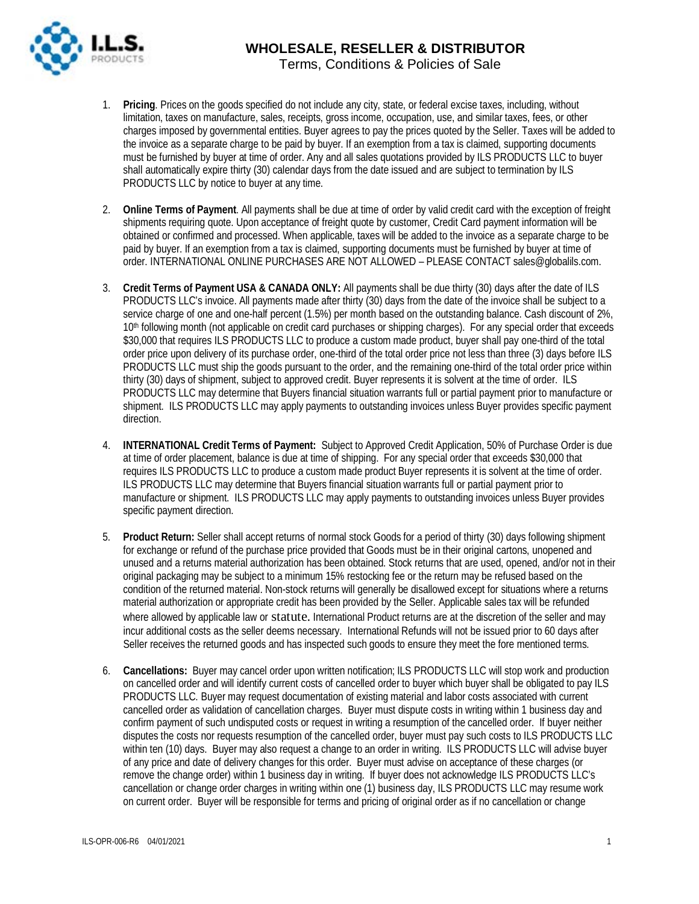

- 1. **Pricing**. Prices on the goods specified do not include any city, state, or federal excise taxes, including, without limitation, taxes on manufacture, sales, receipts, gross income, occupation, use, and similar taxes, fees, or other charges imposed by governmental entities. Buyer agrees to pay the prices quoted by the Seller. Taxes will be added to the invoice as a separate charge to be paid by buyer. If an exemption from a tax is claimed, supporting documents must be furnished by buyer at time of order. Any and all sales quotations provided by ILS PRODUCTS LLC to buyer shall automatically expire thirty (30) calendar days from the date issued and are subject to termination by ILS PRODUCTS LLC by notice to buyer at any time.
- 2. **Online Terms of Payment**. All payments shall be due at time of order by valid credit card with the exception of freight shipments requiring quote. Upon acceptance of freight quote by customer, Credit Card payment information will be obtained or confirmed and processed. When applicable, taxes will be added to the invoice as a separate charge to be paid by buyer. If an exemption from a tax is claimed, supporting documents must be furnished by buyer at time of order. INTERNATIONAL ONLINE PURCHASES ARE NOT ALLOWED – PLEASE CONTACT sales@globalils.com.
- 3. **Credit Terms of Payment USA & CANADA ONLY:** All payments shall be due thirty (30) days after the date of ILS PRODUCTS LLC's invoice. All payments made after thirty (30) days from the date of the invoice shall be subject to a service charge of one and one-half percent (1.5%) per month based on the outstanding balance. Cash discount of 2%, 10<sup>th</sup> following month (not applicable on credit card purchases or shipping charges). For any special order that exceeds \$30,000 that requires ILS PRODUCTS LLC to produce a custom made product, buyer shall pay one-third of the total order price upon delivery of its purchase order, one-third of the total order price not less than three (3) days before ILS PRODUCTS LLC must ship the goods pursuant to the order, and the remaining one-third of the total order price within thirty (30) days of shipment, subject to approved credit. Buyer represents it is solvent at the time of order. ILS PRODUCTS LLC may determine that Buyers financial situation warrants full or partial payment prior to manufacture or shipment. ILS PRODUCTS LLC may apply payments to outstanding invoices unless Buyer provides specific payment direction.
- 4. **INTERNATIONAL Credit Terms of Payment:** Subject to Approved Credit Application, 50% of Purchase Order is due at time of order placement, balance is due at time of shipping. For any special order that exceeds \$30,000 that requires ILS PRODUCTS LLC to produce a custom made product Buyer represents it is solvent at the time of order. ILS PRODUCTS LLC may determine that Buyers financial situation warrants full or partial payment prior to manufacture or shipment. ILS PRODUCTS LLC may apply payments to outstanding invoices unless Buyer provides specific payment direction.
- 5. **Product Return:** Seller shall accept returns of normal stock Goods for a period of thirty (30) days following shipment for exchange or refund of the purchase price provided that Goods must be in their original cartons, unopened and unused and a returns material authorization has been obtained. Stock returns that are used, opened, and/or not in their original packaging may be subject to a minimum 15% restocking fee or the return may be refused based on the condition of the returned material. Non-stock returns will generally be disallowed except for situations where a returns material authorization or appropriate credit has been provided by the Seller. Applicable sales tax will be refunded where allowed by applicable law or statute. International Product returns are at the discretion of the seller and may incur additional costs as the seller deems necessary. International Refunds will not be issued prior to 60 days after Seller receives the returned goods and has inspected such goods to ensure they meet the fore mentioned terms.
- 6. **Cancellations:** Buyer may cancel order upon written notification; ILS PRODUCTS LLC will stop work and production on cancelled order and will identify current costs of cancelled order to buyer which buyer shall be obligated to pay ILS PRODUCTS LLC. Buyer may request documentation of existing material and labor costs associated with current cancelled order as validation of cancellation charges. Buyer must dispute costs in writing within 1 business day and confirm payment of such undisputed costs or request in writing a resumption of the cancelled order. If buyer neither disputes the costs nor requests resumption of the cancelled order, buyer must pay such costs to ILS PRODUCTS LLC within ten (10) days. Buyer may also request a change to an order in writing. ILS PRODUCTS LLC will advise buyer of any price and date of delivery changes for this order. Buyer must advise on acceptance of these charges (or remove the change order) within 1 business day in writing. If buyer does not acknowledge ILS PRODUCTS LLC's cancellation or change order charges in writing within one (1) business day, ILS PRODUCTS LLC may resume work on current order. Buyer will be responsible for terms and pricing of original order as if no cancellation or change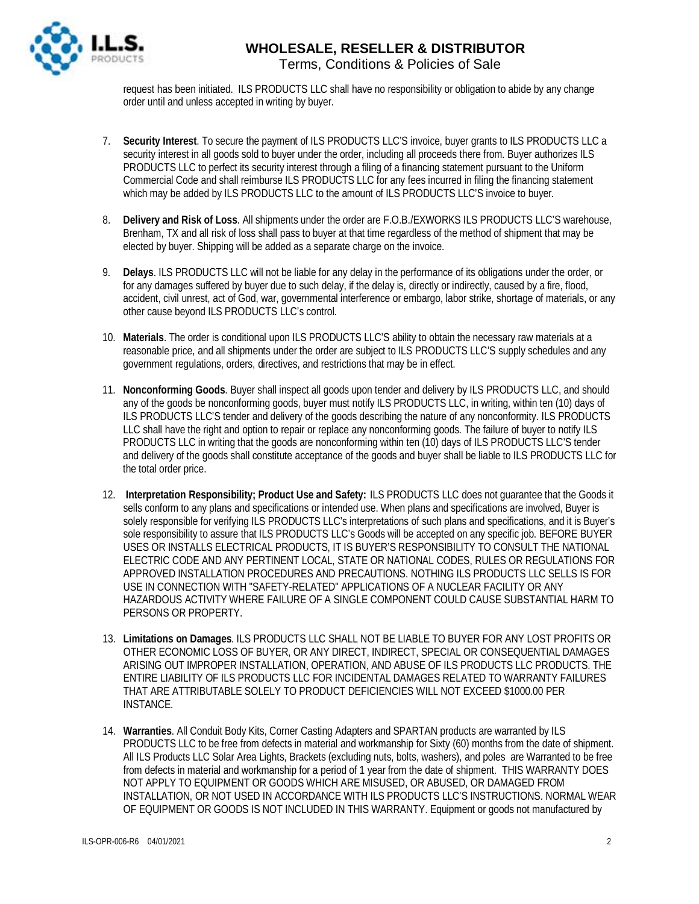

#### **WHOLESALE, RESELLER & DISTRIBUTOR** Terms, Conditions & Policies of Sale

request has been initiated. ILS PRODUCTS LLC shall have no responsibility or obligation to abide by any change order until and unless accepted in writing by buyer.

- 7. **Security Interest**. To secure the payment of ILS PRODUCTS LLC'S invoice, buyer grants to ILS PRODUCTS LLC a security interest in all goods sold to buyer under the order, including all proceeds there from. Buyer authorizes ILS PRODUCTS LLC to perfect its security interest through a filing of a financing statement pursuant to the Uniform Commercial Code and shall reimburse ILS PRODUCTS LLC for any fees incurred in filing the financing statement which may be added by ILS PRODUCTS LLC to the amount of ILS PRODUCTS LLC'S invoice to buyer.
- 8. **Delivery and Risk of Loss**. All shipments under the order are F.O.B./EXWORKS ILS PRODUCTS LLC'S warehouse, Brenham, TX and all risk of loss shall pass to buyer at that time regardless of the method of shipment that may be elected by buyer. Shipping will be added as a separate charge on the invoice.
- 9. **Delays**. ILS PRODUCTS LLC will not be liable for any delay in the performance of its obligations under the order, or for any damages suffered by buyer due to such delay, if the delay is, directly or indirectly, caused by a fire, flood, accident, civil unrest, act of God, war, governmental interference or embargo, labor strike, shortage of materials, or any other cause beyond ILS PRODUCTS LLC's control.
- 10. **Materials**. The order is conditional upon ILS PRODUCTS LLC'S ability to obtain the necessary raw materials at a reasonable price, and all shipments under the order are subject to ILS PRODUCTS LLC'S supply schedules and any government regulations, orders, directives, and restrictions that may be in effect.
- 11. **Nonconforming Goods**. Buyer shall inspect all goods upon tender and delivery by ILS PRODUCTS LLC, and should any of the goods be nonconforming goods, buyer must notify ILS PRODUCTS LLC, in writing, within ten (10) days of ILS PRODUCTS LLC'S tender and delivery of the goods describing the nature of any nonconformity. ILS PRODUCTS LLC shall have the right and option to repair or replace any nonconforming goods. The failure of buyer to notify ILS PRODUCTS LLC in writing that the goods are nonconforming within ten (10) days of ILS PRODUCTS LLC'S tender and delivery of the goods shall constitute acceptance of the goods and buyer shall be liable to ILS PRODUCTS LLC for the total order price.
- 12. **Interpretation Responsibility; Product Use and Safety:** ILS PRODUCTS LLC does not guarantee that the Goods it sells conform to any plans and specifications or intended use. When plans and specifications are involved, Buyer is solely responsible for verifying ILS PRODUCTS LLC's interpretations of such plans and specifications, and it is Buyer's sole responsibility to assure that ILS PRODUCTS LLC's Goods will be accepted on any specific job. BEFORE BUYER USES OR INSTALLS ELECTRICAL PRODUCTS, IT IS BUYER'S RESPONSIBILITY TO CONSULT THE NATIONAL ELECTRIC CODE AND ANY PERTINENT LOCAL, STATE OR NATIONAL CODES, RULES OR REGULATIONS FOR APPROVED INSTALLATION PROCEDURES AND PRECAUTIONS. NOTHING ILS PRODUCTS LLC SELLS IS FOR USE IN CONNECTION WITH "SAFETY-RELATED" APPLICATIONS OF A NUCLEAR FACILITY OR ANY HAZARDOUS ACTIVITY WHERE FAILURE OF A SINGLE COMPONENT COULD CAUSE SUBSTANTIAL HARM TO PERSONS OR PROPERTY.
- 13. **Limitations on Damages**. ILS PRODUCTS LLC SHALL NOT BE LIABLE TO BUYER FOR ANY LOST PROFITS OR OTHER ECONOMIC LOSS OF BUYER, OR ANY DIRECT, INDIRECT, SPECIAL OR CONSEQUENTIAL DAMAGES ARISING OUT IMPROPER INSTALLATION, OPERATION, AND ABUSE OF ILS PRODUCTS LLC PRODUCTS. THE ENTIRE LIABILITY OF ILS PRODUCTS LLC FOR INCIDENTAL DAMAGES RELATED TO WARRANTY FAILURES THAT ARE ATTRIBUTABLE SOLELY TO PRODUCT DEFICIENCIES WILL NOT EXCEED \$1000.00 PER INSTANCE.
- 14. **Warranties**. All Conduit Body Kits, Corner Casting Adapters and SPARTAN products are warranted by ILS PRODUCTS LLC to be free from defects in material and workmanship for Sixty (60) months from the date of shipment. All ILS Products LLC Solar Area Lights, Brackets (excluding nuts, bolts, washers), and poles are Warranted to be free from defects in material and workmanship for a period of 1 year from the date of shipment. THIS WARRANTY DOES NOT APPLY TO EQUIPMENT OR GOODS WHICH ARE MISUSED, OR ABUSED, OR DAMAGED FROM INSTALLATION, OR NOT USED IN ACCORDANCE WITH ILS PRODUCTS LLC'S INSTRUCTIONS. NORMAL WEAR OF EQUIPMENT OR GOODS IS NOT INCLUDED IN THIS WARRANTY. Equipment or goods not manufactured by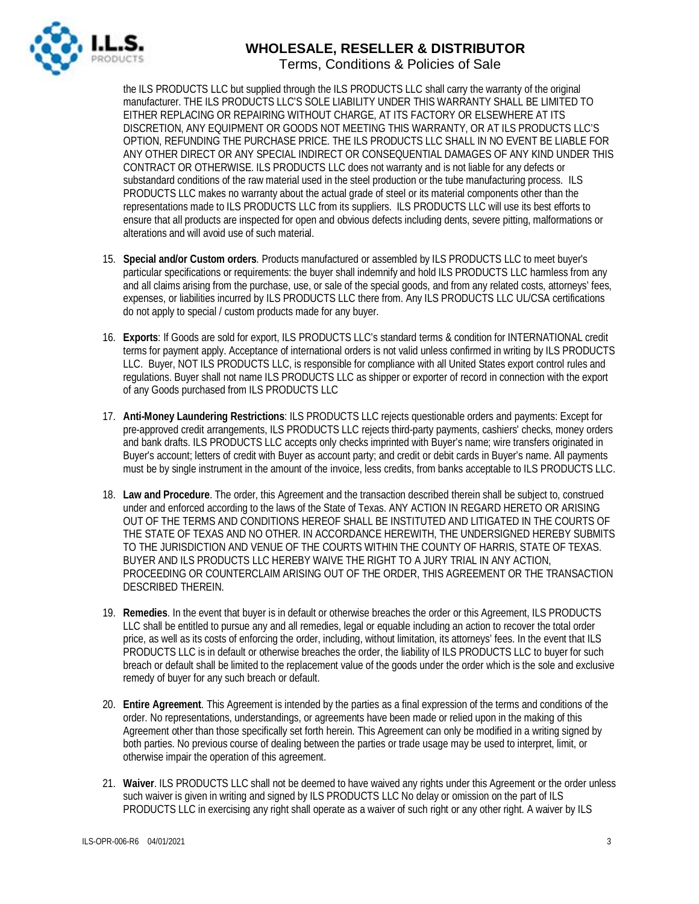

## **WHOLESALE, RESELLER & DISTRIBUTOR**

Terms, Conditions & Policies of Sale

the ILS PRODUCTS LLC but supplied through the ILS PRODUCTS LLC shall carry the warranty of the original manufacturer. THE ILS PRODUCTS LLC'S SOLE LIABILITY UNDER THIS WARRANTY SHALL BE LIMITED TO EITHER REPLACING OR REPAIRING WITHOUT CHARGE, AT ITS FACTORY OR ELSEWHERE AT ITS DISCRETION, ANY EQUIPMENT OR GOODS NOT MEETING THIS WARRANTY, OR AT ILS PRODUCTS LLC'S OPTION, REFUNDING THE PURCHASE PRICE. THE ILS PRODUCTS LLC SHALL IN NO EVENT BE LIABLE FOR ANY OTHER DIRECT OR ANY SPECIAL INDIRECT OR CONSEQUENTIAL DAMAGES OF ANY KIND UNDER THIS CONTRACT OR OTHERWISE. ILS PRODUCTS LLC does not warranty and is not liable for any defects or substandard conditions of the raw material used in the steel production or the tube manufacturing process. ILS PRODUCTS LLC makes no warranty about the actual grade of steel or its material components other than the representations made to ILS PRODUCTS LLC from its suppliers. ILS PRODUCTS LLC will use its best efforts to ensure that all products are inspected for open and obvious defects including dents, severe pitting, malformations or alterations and will avoid use of such material.

- 15. **Special and/or Custom orders**. Products manufactured or assembled by ILS PRODUCTS LLC to meet buyer's particular specifications or requirements: the buyer shall indemnify and hold ILS PRODUCTS LLC harmless from any and all claims arising from the purchase, use, or sale of the special goods, and from any related costs, attorneys' fees, expenses, or liabilities incurred by ILS PRODUCTS LLC there from. Any ILS PRODUCTS LLC UL/CSA certifications do not apply to special / custom products made for any buyer.
- 16. **Exports**: If Goods are sold for export, ILS PRODUCTS LLC's standard terms & condition for INTERNATIONAL credit terms for payment apply. Acceptance of international orders is not valid unless confirmed in writing by ILS PRODUCTS LLC. Buyer, NOT ILS PRODUCTS LLC, is responsible for compliance with all United States export control rules and regulations. Buyer shall not name ILS PRODUCTS LLC as shipper or exporter of record in connection with the export of any Goods purchased from ILS PRODUCTS LLC
- 17. **Anti-Money Laundering Restrictions**: ILS PRODUCTS LLC rejects questionable orders and payments: Except for pre-approved credit arrangements, ILS PRODUCTS LLC rejects third-party payments, cashiers' checks, money orders and bank drafts. ILS PRODUCTS LLC accepts only checks imprinted with Buyer's name; wire transfers originated in Buyer's account; letters of credit with Buyer as account party; and credit or debit cards in Buyer's name. All payments must be by single instrument in the amount of the invoice, less credits, from banks acceptable to ILS PRODUCTS LLC.
- 18. **Law and Procedure**. The order, this Agreement and the transaction described therein shall be subject to, construed under and enforced according to the laws of the State of Texas. ANY ACTION IN REGARD HERETO OR ARISING OUT OF THE TERMS AND CONDITIONS HEREOF SHALL BE INSTITUTED AND LITIGATED IN THE COURTS OF THE STATE OF TEXAS AND NO OTHER. IN ACCORDANCE HEREWITH, THE UNDERSIGNED HEREBY SUBMITS TO THE JURISDICTION AND VENUE OF THE COURTS WITHIN THE COUNTY OF HARRIS, STATE OF TEXAS. BUYER AND ILS PRODUCTS LLC HEREBY WAIVE THE RIGHT TO A JURY TRIAL IN ANY ACTION, PROCEEDING OR COUNTERCLAIM ARISING OUT OF THE ORDER, THIS AGREEMENT OR THE TRANSACTION DESCRIBED THEREIN.
- 19. **Remedies**. In the event that buyer is in default or otherwise breaches the order or this Agreement, ILS PRODUCTS LLC shall be entitled to pursue any and all remedies, legal or equable including an action to recover the total order price, as well as its costs of enforcing the order, including, without limitation, its attorneys' fees. In the event that ILS PRODUCTS LLC is in default or otherwise breaches the order, the liability of ILS PRODUCTS LLC to buyer for such breach or default shall be limited to the replacement value of the goods under the order which is the sole and exclusive remedy of buyer for any such breach or default.
- 20. **Entire Agreement**. This Agreement is intended by the parties as a final expression of the terms and conditions of the order. No representations, understandings, or agreements have been made or relied upon in the making of this Agreement other than those specifically set forth herein. This Agreement can only be modified in a writing signed by both parties. No previous course of dealing between the parties or trade usage may be used to interpret, limit, or otherwise impair the operation of this agreement.
- 21. **Waiver**. ILS PRODUCTS LLC shall not be deemed to have waived any rights under this Agreement or the order unless such waiver is given in writing and signed by ILS PRODUCTS LLC No delay or omission on the part of ILS PRODUCTS LLC in exercising any right shall operate as a waiver of such right or any other right. A waiver by ILS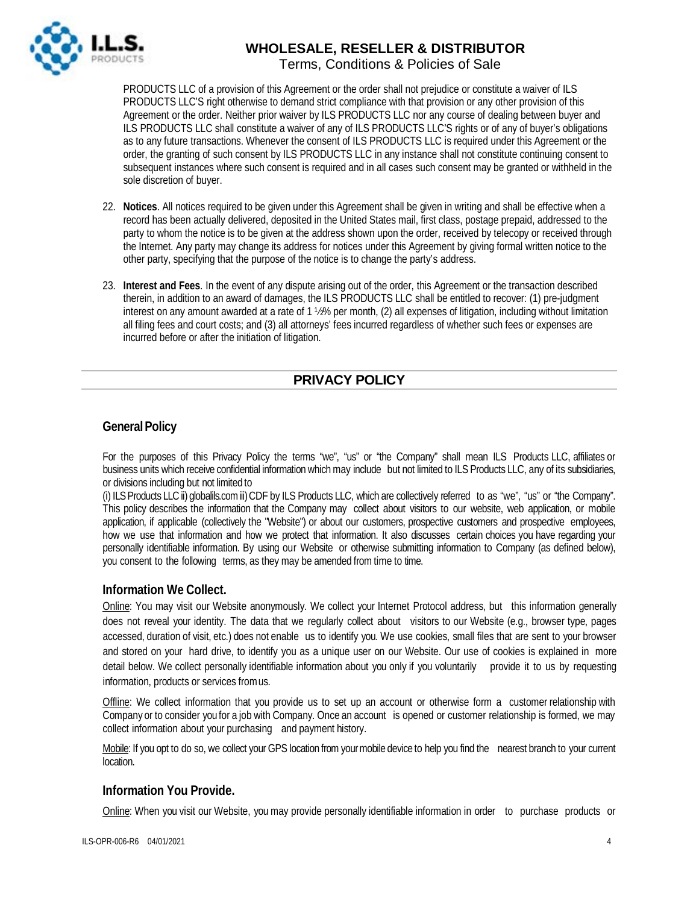

## **WHOLESALE, RESELLER & DISTRIBUTOR**

Terms, Conditions & Policies of Sale

PRODUCTS LLC of a provision of this Agreement or the order shall not prejudice or constitute a waiver of ILS PRODUCTS LLC'S right otherwise to demand strict compliance with that provision or any other provision of this Agreement or the order. Neither prior waiver by ILS PRODUCTS LLC nor any course of dealing between buyer and ILS PRODUCTS LLC shall constitute a waiver of any of ILS PRODUCTS LLC'S rights or of any of buyer's obligations as to any future transactions. Whenever the consent of ILS PRODUCTS LLC is required under this Agreement or the order, the granting of such consent by ILS PRODUCTS LLC in any instance shall not constitute continuing consent to subsequent instances where such consent is required and in all cases such consent may be granted or withheld in the sole discretion of buyer.

- 22. **Notices**. All notices required to be given under this Agreement shall be given in writing and shall be effective when a record has been actually delivered, deposited in the United States mail, first class, postage prepaid, addressed to the party to whom the notice is to be given at the address shown upon the order, received by telecopy or received through the Internet. Any party may change its address for notices under this Agreement by giving formal written notice to the other party, specifying that the purpose of the notice is to change the party's address.
- 23. **Interest and Fees**. In the event of any dispute arising out of the order, this Agreement or the transaction described therein, in addition to an award of damages, the ILS PRODUCTS LLC shall be entitled to recover: (1) pre-judgment interest on any amount awarded at a rate of 1 ½% per month, (2) all expenses of litigation, including without limitation all filing fees and court costs; and (3) all attorneys' fees incurred regardless of whether such fees or expenses are incurred before or after the initiation of litigation.

### **PRIVACY POLICY**

#### **General Policy**

For the purposes of this Privacy Policy the terms "we", "us" or "the Company" shall mean ILS Products LLC, affiliates or business units which receive confidential information which may include but not limited to ILS Products LLC, any of its subsidiaries, or divisions including but not limited to

(i) ILS Products LLC ii) globalils.com iii) CDF by ILS Products LLC, which are collectively referred to as "we", "us" or "the Company". This policy describes the information that the Company may collect about visitors to our website, web application, or mobile application, if applicable (collectively the "Website") or about our customers, prospective customers and prospective employees, how we use that information and how we protect that information. It also discusses certain choices you have regarding your personally identifiable information. By using our Website or otherwise submitting information to Company (as defined below), you consent to the following terms, as they may be amended from time to time.

#### **Information We Collect.**

Online: You may visit our Website anonymously. We collect your Internet Protocol address, but this information generally does not reveal your identity. The data that we regularly collect about visitors to our Website (e.g., browser type, pages accessed, duration of visit, etc.) does not enable us to identify you. We use cookies, small files that are sent to your browser and stored on your hard drive, to identify you as a unique user on our Website. Our use of cookies is explained in more detail below. We collect personally identifiable information about you only if you voluntarily provide it to us by requesting information, products or services fromus.

Offline: We collect information that you provide us to set up an account or otherwise form a customer relationship with Company or to consider you for a job with Company. Once an account is opened or customer relationship is formed, we may collect information about your purchasing and payment history.

Mobile: If you opt to do so, we collect your GPS location from your mobile device to help you find the nearest branch to your current location.

#### **Information You Provide.**

Online: When you visit our Website, you may provide personally identifiable information in order to purchase products or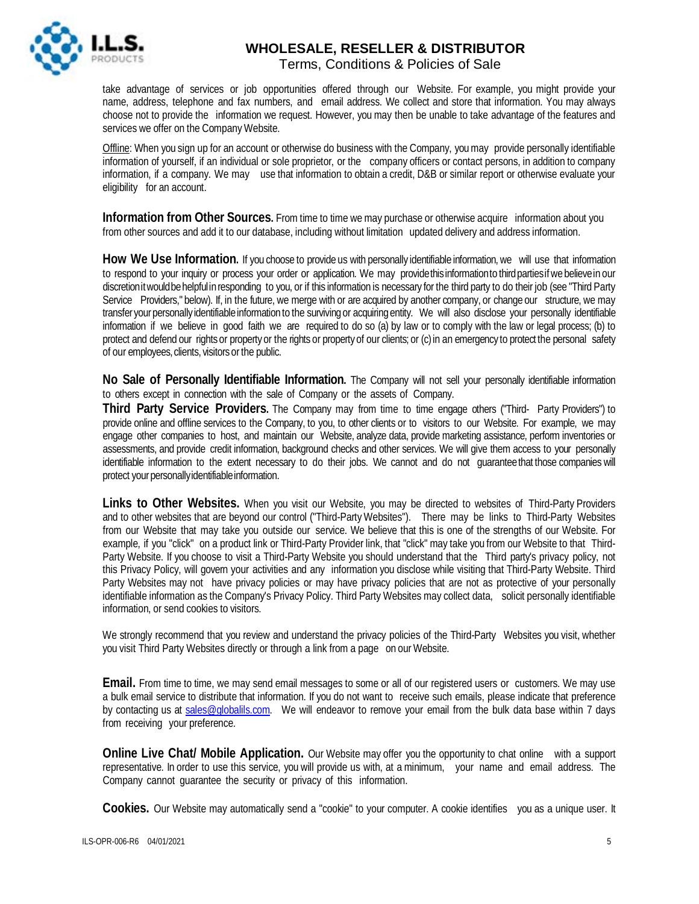

# **WHOLESALE, RESELLER & DISTRIBUTOR**

Terms, Conditions & Policies of Sale

take advantage of services or job opportunities offered through our Website. For example, you might provide your name, address, telephone and fax numbers, and email address. We collect and store that information. You may always choose not to provide the information we request. However, you may then be unable to take advantage of the features and services we offer on the Company Website.

Offline: When you sign up for an account or otherwise do business with the Company, youmay provide personally identifiable information of yourself, if an individual or sole proprietor, or the company officers or contact persons, in addition to company information, if a company. We may use that information to obtain a credit, D&B or similar report or otherwise evaluate your eligibility for an account.

**Information from Other Sources.** From time to time wemay purchase or otherwise acquire information about you from other sources and add it to our database, including without limitation updated delivery and address information.

**How We Use Information.** If you choose to provide us with personally identifiable information, we will use that information to respond to your inquiry or process your order or application. We may provide this information to third parties if we believe in our discretionitwouldbehelpfulin responding to you, or if this information is necessary for the third party to do their job (see "Third Party Service Providers," below). If, in the future, we merge with or are acquired by another company, or change our structure, we may transfer yourpersonallyidentifiableinformation to the surviving or acquiring entity. We will also disclose your personally identifiable information if we believe in good faith we are required to do so (a) by law or to comply with the law or legal process; (b) to protect and defend our rights or property or the rights or property of our clients; or (c) in an emergency to protect the personal safety of our employees, clients, visitors or the public.

**No Sale of Personally Identifiable Information.** The Company will not sell your personally identifiable information to others except in connection with the sale of Company or the assets of Company.

**Third Party Service Providers.** The Company may from time to time engage others ("Third- Party Providers") to provide online and offline services to the Company, to you, to other clients or to visitors to our Website. For example, we may engage other companies to host, and maintain our Website, analyze data, provide marketing assistance, perform inventories or assessments, and provide credit information, background checks and other services. We will give them access to your personally identifiable information to the extent necessary to do their jobs. We cannot and do not guaranteethat those companies will protect your personally identifiable information.

**Links to Other Websites.** When you visit our Website, you may be directed to websites of Third-Party Providers and to other websites that are beyond our control ("Third-Party Websites"). There may be links to Third-Party Websites from our Website that may take you outside our service. We believe that this is one of the strengths of our Website. For example, if you "click" on a product link or Third-Party Provider link, that "click" may take you from our Website to that Third-Party Website. If you choose to visit a Third-Party Website you should understand that the Third party's privacy policy, not this Privacy Policy, will govern your activities and any information you disclose while visiting that Third-Party Website. Third Party Websites may not have privacy policies or may have privacy policies that are not as protective of your personally identifiable information as the Company's Privacy Policy. Third Party Websites may collect data, solicit personally identifiable information, or send cookies to visitors.

We strongly recommend that you review and understand the privacy policies of the Third-Party Websites you visit, whether you visit Third Party Websites directly or through a link from a page on our Website.

**Email.** From time to time, we may send email messages to some or all of our registered users or customers. We may use a bulk email service to distribute that information. If you do not want to receive such emails, please indicate that preference by contacting us at [sales@globalils.com.](mailto:sales@globalils.com) We will endeavor to remove your email from the bulk data base within 7 days from receiving your preference.

**Online Live Chat/ Mobile Application.** Our Website may offer you the opportunity to chat online with a support representative. In order to use this service, you will provide us with, at a minimum, your name and email address. The Company cannot guarantee the security or privacy of this information.

**Cookies.** Our Website may automatically send a "cookie" to your computer. A cookie identifies you as a unique user. It